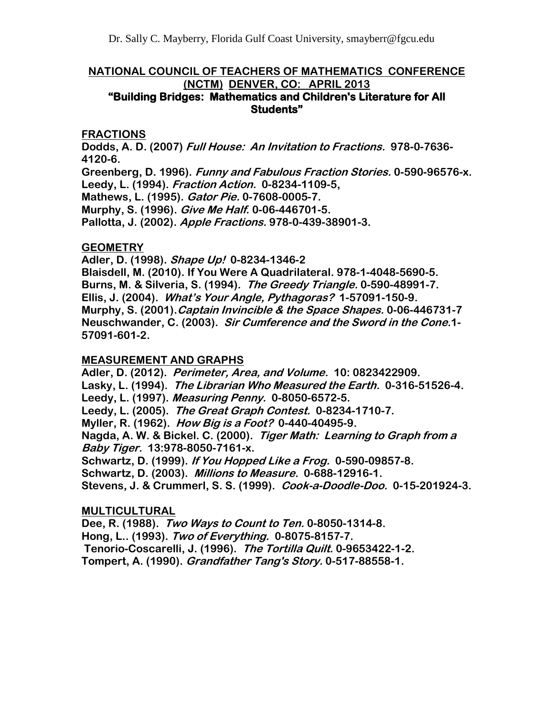#### **NATIONAL COUNCIL OF TEACHERS OF MATHEMATICS CONFERENCE (NCTM) DENVER, CO: APRIL 2013 "Building Bridges: Mathematics and Children's Literature for All Students"**

#### **FRACTIONS**

**Dodds, A. D. (2007) Full House: An Invitation to Fractions. 978-0-7636- 4120-6.**

**Greenberg, D. 1996). Funny and Fabulous Fraction Stories. 0-590-96576-x. Leedy, L. (1994). Fraction Action. 0-8234-1109-5,**

**Mathews, L. (1995). Gator Pie. 0-7608-0005-7.**

**Murphy, S. (1996). Give Me Half. 0-06-446701-5.**

**Pallotta, J. (2002). Apple Fractions. 978-0-439-38901-3.**

#### **GEOMETRY**

**Adler, D. (1998). Shape Up! 0-8234-1346-2 Blaisdell, M. (2010). If You Were A Quadrilateral. 978-1-4048-5690-5. Burns, M. & Silveria, S. (1994). The Greedy Triangle. 0-590-48991-7. Ellis, J. (2004). What's Your Angle, Pythagoras? 1-57091-150-9. Murphy, S. (2001).Captain Invincible & the Space Shapes. 0-06-446731-7 Neuschwander, C. (2003). Sir Cumference and the Sword in the Cone.1- 57091-601-2.**

## **MEASUREMENT AND GRAPHS**

**Adler, D. (2012). Perimeter, Area, and Volume. 10: 0823422909. Lasky, L. (1994). The Librarian Who Measured the Earth. 0-316-51526-4. Leedy, L. (1997). Measuring Penny. 0-8050-6572-5. Leedy, L. (2005). The Great Graph Contest. 0-8234-1710-7. Myller, R. (1962). How Big is a Foot? 0-440-40495-9. Nagda, A. W. & Bickel. C. (2000). Tiger Math: Learning to Graph from a Baby Tiger. 13:978-8050-7161-x. Schwartz, D. (1999). If You Hopped Like a Frog. 0-590-09857-8. Schwartz, D. (2003). Millions to Measure. 0-688-12916-1. Stevens, J. & Crummerl, S. S. (1999). Cook-a-Doodle-Doo. 0-15-201924-3.**

## **MULTICULTURAL**

**Dee, R. (1988). Two Ways to Count to Ten. 0-8050-1314-8. Hong, L.. (1993). Two of Everything. 0-8075-8157-7. Tenorio-Coscarelli, J. (1996). The Tortilla Quilt. 0-9653422-1-2. Tompert, A. (1990). Grandfather Tang's Story. 0-517-88558-1.**